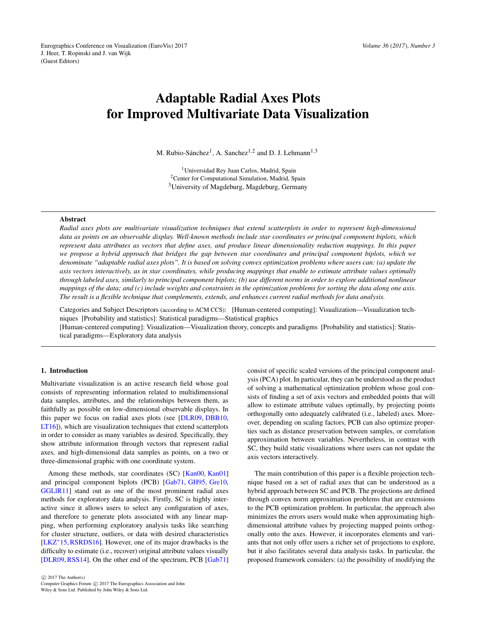# <span id="page-0-0"></span>**Adaptable Radial Axes Plots for Improved Multivariate Data Visualization**

M. Rubio-Sánchez<sup>1</sup>, A. Sanchez<sup>1,2</sup> and D. J. Lehmann<sup>1,3</sup>

<sup>1</sup>Universidad Rey Juan Carlos, Madrid, Spain <sup>2</sup> Center for Computational Simulation, Madrid, Spain <sup>3</sup>University of Magdeburg, Magdeburg, Germany

# **Abstract**

Radial axes plots are multivariate visualization techniques that extend scatterplots in order to represent high-dimensional data as points on an observable display. Well-known methods include star coordinates or principal component biplots, which represent data attributes as vectors that define axes, and produce linear dimensionality reduction mappings. In this paper we propose a hybrid approach that bridges the gap between star coordinates and principal component biplots, which we denominate "adaptable radial axes plots". It is based on solving convex optimization problems where users can: (a) update the axis vectors interactively, as in star coordinates, while producing mappings that enable to estimate attribute values optimally through labeled axes, similarly to principal component biplots; (b) use different norms in order to explore additional nonlinear mappings of the data; and  $(c)$  include weights and constraints in the optimization problems for sorting the data along one axis. The result is a flexible technique that complements, extends, and enhances current radial methods for data analysis.

Categories and Subject Descriptors (according to ACM CCS): [Human-centered computing]: Visualization—Visualization techniques [Probability and statistics]: Statistical paradigms—Statistical graphics

[Human-centered computing]: Visualization—Visualization theory, concepts and paradigms [Probability and statistics]: Statistical paradigms—Exploratory data analysis

# **1. Introduction**

Multivariate visualization is an active research field whose goal consists of representing information related to multidimensional data samples, attributes, and the relationships between them, as faithfully as possible on low-dimensional observable displays. In this paper we focus on radial axes plots (see [\[DLR09,](#page-9-0) [DBB10,](#page-9-1) [LT16\]](#page-10-0)), which are visualization techniques that extend scatterplots in order to consider as many variables as desired. Specifically, they show attribute information through vectors that represent radial axes, and high-dimensional data samples as points, on a two or three-dimensional graphic with one coordinate system.

Among these methods, star coordinates (SC) [\[Kan00,](#page-9-2) [Kan01\]](#page-9-3) and principal component biplots (PCB) [\[Gab71,](#page-9-4) [GH95,](#page-9-5) [Gre10,](#page-9-6) [GGLlR11\]](#page-9-7) stand out as one of the most prominent radial axes methods for exploratory data analysis. Firstly, SC is highly interactive since it allows users to select any configuration of axes, and therefore to generate plots associated with any linear mapping, when performing exploratory analysis tasks like searching for cluster structure, outliers, or data with desired characteristics [\[LKZ](#page-10-1)∗15,[RSRDS16\]](#page-10-2). However, one of its major drawbacks is the difficulty to estimate (i.e., recover) original attribute values visually [\[DLR09,](#page-9-0)[RSS14\]](#page-10-3). On the other end of the spectrum, PCB [\[Gab71\]](#page-9-4) consist of specific scaled versions of the principal component analysis (PCA) plot. In particular, they can be understood as the product of solving a mathematical optimization problem whose goal consists of finding a set of axis vectors and embedded points that will allow to estimate attribute values optimally, by projecting points orthogonally onto adequately calibrated (i.e., labeled) axes. Moreover, depending on scaling factors, PCB can also optimize properties such as distance preservation between samples, or correlation approximation between variables. Nevertheless, in contrast with SC, they build static visualizations where users can not update the axis vectors interactively.

The main contribution of this paper is a flexible projection technique based on a set of radial axes that can be understood as a hybrid approach between SC and PCB. The projections are defined through convex norm approximation problems that are extensions to the PCB optimization problem. In particular, the approach also minimizes the errors users would make when approximating highdimensional attribute values by projecting mapped points orthogonally onto the axes. However, it incorporates elements and variants that not only offer users a richer set of projections to explore, but it also facilitates several data analysis tasks. In particular, the proposed framework considers: (a) the possibility of modifying the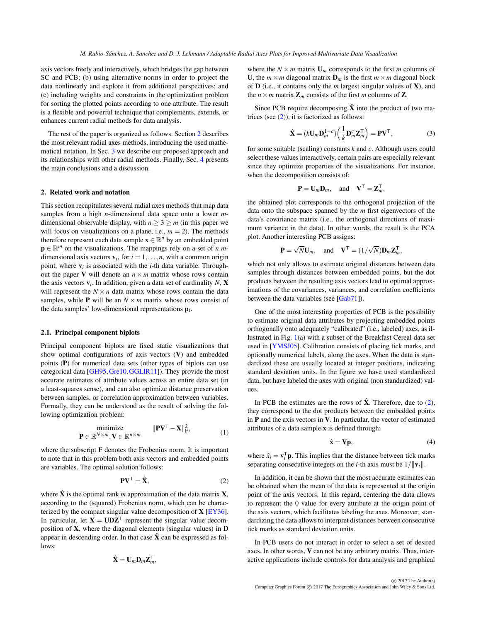<span id="page-1-5"></span>axis vectors freely and interactively, which bridges the gap between SC and PCB; (b) using alternative norms in order to project the data nonlinearly and explore it from additional perspectives; and (c) including weights and constraints in the optimization problem for sorting the plotted points according to one attribute. The result is a flexible and powerful technique that complements, extends, or enhances current radial methods for data analysis.

The rest of the paper is organized as follows. Section [2](#page-1-0) describes the most relevant radial axes methods, introducing the used mathematical notation. In Sec. [3](#page-2-0) we describe our proposed approach and its relationships with other radial methods. Finally, Sec. [4](#page-8-0) presents the main conclusions and a discussion.

## <span id="page-1-0"></span>**2. Related work and notation**

This section recapitulates several radial axes methods that map data samples from a high *n*-dimensional data space onto a lower *m*dimensional observable display, with  $n \geq 3 \geq m$  (in this paper we will focus on visualizations on a plane, i.e.,  $m = 2$ ). The methods therefore represent each data sample  $\mathbf{x} \in \mathbb{R}^n$  by an embedded point  $\mathbf{p} \in \mathbb{R}^m$  on the visualizations. The mappings rely on a set of *n m*dimensional axis vectors  $\mathbf{v}_i$ , for  $i = 1, \ldots, n$ , with a common origin point, where  $v_i$  is associated with the *i*-th data variable. Throughout the paper **V** will denote an  $n \times m$  matrix whose rows contain the axis vectors  $\mathbf{v}_i$ . In addition, given a data set of cardinality  $N$ , **X** will represent the  $N \times n$  data matrix whose rows contain the data samples, while **P** will be an  $N \times m$  matrix whose rows consist of the data samples' low-dimensional representations **p***i* .

## **2.1. Principal component biplots**

Principal component biplots are fixed static visualizations that show optimal configurations of axis vectors (**V**) and embedded points (**P**) for numerical data sets (other types of biplots can use categorical data [\[GH95,](#page-9-5)[Gre10,](#page-9-6)[GGLlR11\]](#page-9-7)). They provide the most accurate estimates of attribute values across an entire data set (in a least-squares sense), and can also optimize distance preservation between samples, or correlation approximation between variables. Formally, they can be understood as the result of solving the following optimization problem:

<span id="page-1-3"></span>
$$
\begin{array}{ll}\text{minimize} & \|\mathbf{P}\mathbf{V}^{\mathsf{T}} - \mathbf{X}\|_{\mathbf{F}}^{2},\\ \mathbf{P} \in \mathbb{R}^{N \times m}, \mathbf{V} \in \mathbb{R}^{n \times m} & \end{array} \tag{1}
$$

where the subscript F denotes the Frobenius norm. It is important to note that in this problem both axis vectors and embedded points are variables. The optimal solution follows:

<span id="page-1-1"></span>
$$
PV^{T} = \hat{X},\tag{2}
$$

where  $\hat{\mathbf{X}}$  is the optimal rank *m* approximation of the data matrix **X**, according to the (squared) Frobenius norm, which can be characterized by the compact singular value decomposition of **X** [\[EY36\]](#page-9-8). In particular, let  $\mathbf{X} = \mathbf{U} \mathbf{D} \mathbf{Z}^{\mathsf{T}}$  represent the singular value decomposition of **X**, where the diagonal elements (singular values) in **D** appear in descending order. In that case  $\hat{\mathbf{X}}$  can be expressed as follows:

$$
\hat{\mathbf{X}} = \mathbf{U}_m \mathbf{D}_m \mathbf{Z}_m^\mathsf{T},
$$

where the  $N \times m$  matrix  $\mathbf{U}_m$  corresponds to the first *m* columns of **U**, the  $m \times m$  diagonal matrix  $\mathbf{D}_m$  is the first  $m \times m$  diagonal block of **D** (i.e., it contains only the *m* largest singular values of **X**), and the  $n \times m$  matrix  $\mathbf{Z}_m$  consists of the first *m* columns of **Z**.

Since PCB require decomposing  $\hat{\mathbf{X}}$  into the product of two matrices (see  $(2)$ ), it is factorized as follows:

<span id="page-1-2"></span>
$$
\hat{\mathbf{X}} = (k\mathbf{U}_m \mathbf{D}_m^{1-c}) \left(\frac{1}{k} \mathbf{D}_m^c \mathbf{Z}_m^{\mathsf{T}}\right) = \mathbf{P} \mathbf{V}^{\mathsf{T}},\tag{3}
$$

for some suitable (scaling) constants *k* and *c*. Although users could select these values interactively, certain pairs are especially relevant since they optimize properties of the visualizations. For instance, when the decomposition consists of:

$$
\mathbf{P} = \mathbf{U}_m \mathbf{D}_m, \text{ and } \mathbf{V}^\mathsf{T} = \mathbf{Z}_m^\mathsf{T},
$$

the obtained plot corresponds to the orthogonal projection of the data onto the subspace spanned by the *m* first eigenvectors of the data's covariance matrix (i.e., the orthogonal directions of maximum variance in the data). In other words, the result is the PCA plot. Another interesting PCB assigns:

$$
\mathbf{P} = \sqrt{N}\mathbf{U}_m, \text{ and } \mathbf{V}^{\mathsf{T}} = (1/\sqrt{N})\mathbf{D}_m \mathbf{Z}_m^{\mathsf{T}},
$$

which not only allows to estimate original distances between data samples through distances between embedded points, but the dot products between the resulting axis vectors lead to optimal approximations of the covariances, variances, and correlation coefficients between the data variables (see [\[Gab71\]](#page-9-4)).

One of the most interesting properties of PCB is the possibility to estimate original data attributes by projecting embedded points orthogonally onto adequately "calibrated" (i.e., labeled) axes, as illustrated in Fig. [1\(](#page-2-1)a) with a subset of the Breakfast Cereal data set used in [\[YMSJ05\]](#page-10-4). Calibration consists of placing tick marks, and optionally numerical labels, along the axes. When the data is standardized these are usually located at integer positions, indicating standard deviation units. In the figure we have used standardized data, but have labeled the axes with original (non standardized) values.

In PCB the estimates are the rows of  $\hat{\mathbf{X}}$ . Therefore, due to [\(2\)](#page-1-1), they correspond to the dot products between the embedded points in **P** and the axis vectors in **V**. In particular, the vector of estimated attributes of a data sample **x** is defined through:

<span id="page-1-4"></span>
$$
\hat{\mathbf{x}} = \mathbf{V}\mathbf{p},\tag{4}
$$

where  $\hat{x}_i = \mathbf{v}_i^{\mathsf{T}} \mathbf{p}$ . This implies that the distance between tick marks separating consecutive integers on the *i*-th axis must be  $1/||\mathbf{v}_i||$ .

In addition, it can be shown that the most accurate estimates can be obtained when the mean of the data is represented at the origin point of the axis vectors. In this regard, centering the data allows to represent the 0 value for every attribute at the origin point of the axis vectors, which facilitates labeling the axes. Moreover, standardizing the data allows to interpret distances between consecutive tick marks as standard deviation units.

In PCB users do not interact in order to select a set of desired axes. In other words, **V** can not be any arbitrary matrix. Thus, interactive applications include controls for data analysis and graphical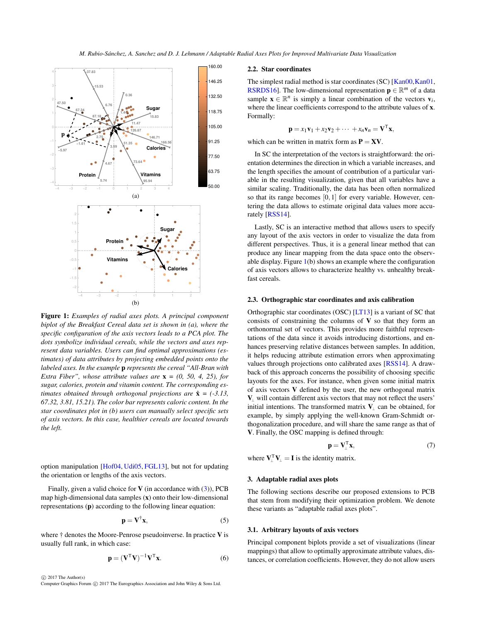<span id="page-2-5"></span>

<span id="page-2-1"></span>**Figure 1:** *Examples of radial axes plots. A principal component biplot of the Breakfast Cereal data set is shown in (a), where the specific configuration of the axis vectors leads to a PCA plot. The dots symbolize individual cereals, while the vectors and axes represent data variables. Users can find optimal approximations (estimates) of data attributes by projecting embedded points onto the labeled axes. In the example* **p** *represents the cereal "All-Bran with Extra Fiber*", *whose attribute values are*  $\mathbf{x} = (0, 50, 4, 25)$ , *for sugar, calories, protein and vitamin content. The corresponding estimates obtained through orthogonal projections are* **x**ˆ *= (-3.13, 67.32, 3.81, 15.21). The color bar represents caloric content. In the star coordinates plot in (b) users can manually select specific sets of axis vectors. In this case, healthier cereals are located towards the left.*

option manipulation [\[Hof04,](#page-9-9) [Udi05,](#page-10-5) [FGL13\]](#page-9-10), but not for updating the orientation or lengths of the axis vectors.

Finally, given a valid choice for **V** (in accordance with [\(3\)](#page-1-2)), PCB map high-dimensional data samples (**x**) onto their low-dimensional representations (**p**) according to the following linear equation:

<span id="page-2-3"></span>
$$
\mathbf{p} = \mathbf{V}^{\dagger} \mathbf{x},\tag{5}
$$

where † denotes the Moore-Penrose pseudoinverse. In practice **V** is usually full rank, in which case:

$$
\mathbf{p} = (\mathbf{V}^\mathsf{T} \mathbf{V})^{-1} \mathbf{V}^\mathsf{T} \mathbf{x}.\tag{6}
$$

## **2.2. Star coordinates**

The simplest radial method is star coordinates (SC) [\[Kan00,](#page-9-2)[Kan01,](#page-9-3) [RSRDS16\]](#page-10-2). The low-dimensional representation  $\mathbf{p} \in \mathbb{R}^m$  of a data sample  $\mathbf{x} \in \mathbb{R}^n$  is simply a linear combination of the vectors  $\mathbf{v}_i$ , where the linear coefficients correspond to the attribute values of **x**. Formally:

$$
\mathbf{p} = x_1 \mathbf{v}_1 + x_2 \mathbf{v}_2 + \cdots + x_n \mathbf{v}_n = \mathbf{V}^\mathsf{T} \mathbf{x},
$$

which can be written in matrix form as  $P = XV$ .

In SC the interpretation of the vectors is straightforward: the orientation determines the direction in which a variable increases, and the length specifies the amount of contribution of a particular variable in the resulting visualization, given that all variables have a similar scaling. Traditionally, the data has been often normalized so that its range becomes [0,1] for every variable. However, centering the data allows to estimate original data values more accurately [\[RSS14\]](#page-10-3).

Lastly, SC is an interactive method that allows users to specify any layout of the axis vectors in order to visualize the data from different perspectives. Thus, it is a general linear method that can produce any linear mapping from the data space onto the observable display. Figure [1\(](#page-2-1)b) shows an example where the configuration of axis vectors allows to characterize healthy vs. unhealthy breakfast cereals.

#### **2.3. Orthographic star coordinates and axis calibration**

Orthographic star coordinates (OSC) [\[LT13\]](#page-10-6) is a variant of SC that consists of constraining the columns of **V** so that they form an orthonormal set of vectors. This provides more faithful representations of the data since it avoids introducing distortions, and enhances preserving relative distances between samples. In addition, it helps reducing attribute estimation errors when approximating values through projections onto calibrated axes [\[RSS14\]](#page-10-3). A drawback of this approach concerns the possibility of choosing specific layouts for the axes. For instance, when given some initial matrix of axis vectors **V** defined by the user, the new orthogonal matrix **V**<sup>⊥</sup> will contain different axis vectors that may not reflect the users' initial intentions. The transformed matrix **V**<sup>⊥</sup> can be obtained, for example, by simply applying the well-known Gram-Schmidt orthogonalization procedure, and will share the same range as that of **V**. Finally, the OSC mapping is defined through:

<span id="page-2-4"></span>
$$
\mathbf{p} = \mathbf{V}_{\perp}^{\mathsf{T}} \mathbf{x},\tag{7}
$$

where  $\mathbf{V}_{\perp}^{\mathsf{T}} \mathbf{V}_{\perp} = \mathbf{I}$  is the identity matrix.

# <span id="page-2-0"></span>**3. Adaptable radial axes plots**

<span id="page-2-2"></span>The following sections describe our proposed extensions to PCB that stem from modifying their optimization problem. We denote these variants as "adaptable radial axes plots".

## **3.1. Arbitrary layouts of axis vectors**

Principal component biplots provide a set of visualizations (linear mappings) that allow to optimally approximate attribute values, distances, or correlation coefficients. However, they do not allow users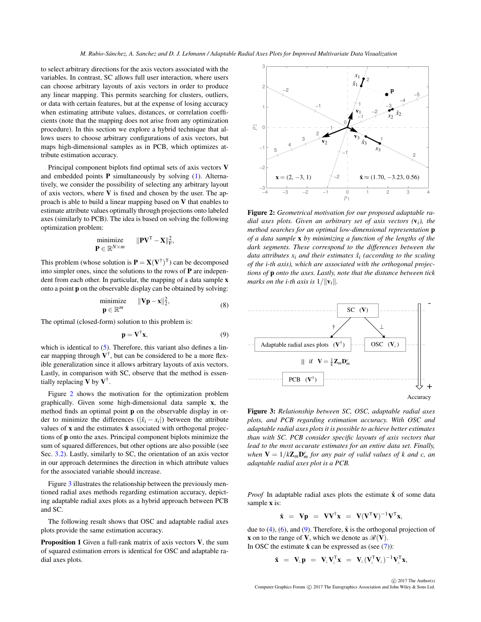to select arbitrary directions for the axis vectors associated with the variables. In contrast, SC allows full user interaction, **Where users** also can choose arbitrary layouts of axis vectors in order to produce any linear mapping. This permits searching for clusters, outliers, or data with certain features, but at the expense of losing accuracy when estimating attribute values, distances, or correlation coefficients (note that the mapping does not arise from any optimization procedure). In this section we explore a hybrid technique that allows users to choose arbitrary configurations of axis vectors, but maps high-dimensional samples as in PCB, which optimizes attribute estimation accuracy.

Principal component biplots find optimal sets of axis vectors **V** and embedded points **P** simultaneously by solving [\(1\)](#page-1-3). Alternatively, we consider the possibility of selecting any arbitrary layout of axis vectors, where **V** is fixed and chosen by the user. The approach is able to build a linear mapping based on **V** that enables to estimate attribute values optimally through projections onto labeled axes (similarly to PCB). The idea is based on solving the following optimization problem:

$$
\begin{aligned}\n\text{minimize} & \quad \|\mathbf{P}\mathbf{V}^{\mathsf{T}} - \mathbf{X}\|_{\mathbf{F}}^2, \\
\mathbf{P} \in \mathbb{R}^{N \times m}\n\end{aligned}
$$

This problem (whose solution is  $P = X(V^{\dagger})^T$ ) can be decomposed into simpler ones, since the solutions to the rows of **P** are independent from each other. In particular, the mapping of a data sample **x** onto a point **p** on the observable display can be obtained by solving:



<span id="page-3-3"></span><span id="page-3-0"></span>**Figure 2:** *Geometrical motivation for our proposed adaptable radial axes plots. Given an arbitrary set of axis vectors (***v***i), the method searches for an optimal low-dimensional representation* **p** *of a data sample* **x** *by minimizing a function of the lengths of the dark segments. These correspond to the differences between the data attributes*  $x_i$  *and their estimates*  $\hat{x}_i$  *(according to the scaling of the i-th axis), which are associated with the orthogonal projections of* **p** *onto the axes. Lastly, note that the distance between tick marks on the i-th axis is*  $1/||\mathbf{v}_i||$ .



Figure [2](#page-3-0) shows the motivation for the optimization problem graphically. Given some high-dimensional data sample **x**, the method finds an optimal point **p** on the observable display in order to minimize the differences  $(|\hat{x}_i - x_i|)$  between the attribute values of **x** and the estimates **x**ˆ associated with orthogonal projections of **p** onto the axes. Principal component biplots minimize the sum of squared differences, but other options are also possible (see Sec. [3.2\)](#page-4-0). Lastly, similarly to SC, the orientation of an axis vector in our approach determines the direction in which attribute values for the associated variable should increase.

Figure [3](#page-3-1) illustrates the relationship between the previously mentioned radial axes methods regarding estimation accuracy, depicting adaptable radial axes plots as a hybrid approach between PCB and SC.

The following result shows that OSC and adaptable radial axes plots provide the same estimation accuracy.

**Proposition 1** Given a full-rank matrix of axis vectors **V**, the sum of squared estimation errors is identical for OSC and adaptable radial axes plots.

<span id="page-3-2"></span><span id="page-3-1"></span>**Figure 3:** *Relationship between SC, OSC, adaptable radial axes plots, and PCB regarding estimation accuracy. With OSC and adaptable radial axes plots it is possible to achieve better estimates than with SC. PCB consider specific layouts of axis vectors that lead to the most accurate estimates for an entire data set. Finally, when*  $V = 1/kZ_mD_m^c$  *for any pair of valid values of k and c, an adaptable radial axes plot is a PCB.*

+

Accuracy

*Proof* In adaptable radial axes plots the estimate  $\hat{x}$  of some data sample **x** is:

$$
\hat{x} = Vp = VV^{\dagger}x = V(V^{\top}V)^{-1}V^{\top}x,
$$

due to  $(4)$ ,  $(6)$ , and  $(9)$ . Therefore,  $\hat{\mathbf{x}}$  is the orthogonal projection of **x** on to the range of **V**, which we denote as  $\mathcal{R}(\mathbf{V})$ . In OSC the estimate  $\hat{x}$  can be expressed as (see  $(7)$ ):

$$
\mathbf{\hat{x}}\ =\ \mathbf{V}_{\!\perp} \mathbf{p}\ =\ \mathbf{V}_{\!\perp} \mathbf{V}_{\!\perp}^T \mathbf{x}\ =\ \mathbf{V}_{\!\perp} (\mathbf{V}_{\!\perp}^T \mathbf{V}_{\!\perp})^{-1} \mathbf{V}_{\!\perp}^T \mathbf{x},
$$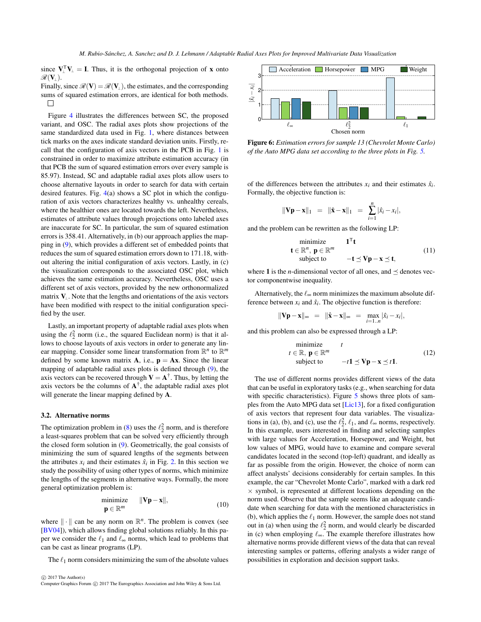<span id="page-4-3"></span>since  $V_{\perp}^{\mathsf{T}} V_{\perp} = I$ . Thus, it is the orthogonal projection of **x** onto <sup>R</sup>(**V**⊥).

Finally, since  $\mathcal{R}(\mathbf{V}) = \mathcal{R}(\mathbf{V}_{\perp})$ , the estimates, and the corresponding sums of squared estimation errors, are identical for both methods.  $\Box$ 

Figure [4](#page-5-0) illustrates the differences between SC, the proposed variant, and OSC. The radial axes plots show projections of the same standardized data used in Fig. [1,](#page-2-1) where distances between tick marks on the axes indicate standard deviation units. Firstly, recall that the configuration of axis vectors in the PCB in Fig. [1](#page-2-1) is constrained in order to maximize attribute estimation accuracy (in that PCB the sum of squared estimation errors over every sample is 85.97). Instead, SC and adaptable radial axes plots allow users to choose alternative layouts in order to search for data with certain desired features. Fig. [4\(](#page-5-0)a) shows a SC plot in which the configuration of axis vectors characterizes healthy vs. unhealthy cereals, where the healthier ones are located towards the left. Nevertheless, estimates of attribute values through projections onto labeled axes are inaccurate for SC. In particular, the sum of squared estimation errors is 358.41. Alternatively, in (b) our approach applies the mapping in [\(9\)](#page-3-2), which provides a different set of embedded points that reduces the sum of squared estimation errors down to 171.18, without altering the initial configuration of axis vectors. Lastly, in (c) the visualization corresponds to the associated OSC plot, which achieves the same estimation accuracy. Nevertheless, OSC uses a different set of axis vectors, provided by the new orthonormalized matrix  $V_{\perp}$ . Note that the lengths and orientations of the axis vectors have been modified with respect to the initial configuration specified by the user.

Lastly, an important property of adaptable radial axes plots when using the  $\ell_2^2$  norm (i.e., the squared Euclidean norm) is that it allows to choose layouts of axis vectors in order to generate any linear mapping. Consider some linear transformation from  $\mathbb{R}^n$  to  $\mathbb{R}^m$ defined by some known matrix  $\bf{A}$ , i.e.,  $\bf{p} = \bf{A} \bf{x}$ . Since the linear mapping of adaptable radial axes plots is defined through [\(9\)](#page-3-2), the axis vectors can be recovered through  $V = A^{\dagger}$ . Thus, by letting the axis vectors be the columns of  $A^{\dagger}$ , the adaptable radial axes plot will generate the linear mapping defined by **A**.

## <span id="page-4-0"></span>**3.2. Alternative norms**

The optimization problem in [\(8\)](#page-3-3) uses the  $\ell_2^2$  norm, and is therefore a least-squares problem that can be solved very efficiently through the closed form solution in [\(9\)](#page-3-2). Geometrically, the goal consists of minimizing the sum of squared lengths of the segments between the attributes  $x_i$  and their estimates  $\hat{x}_i$  in Fig. [2.](#page-3-0) In this section we study the possibility of using other types of norms, which minimize the lengths of the segments in alternative ways. Formally, the more general optimization problem is:

<span id="page-4-2"></span>
$$
\begin{array}{ll}\text{minimize} & \|\mathbf{V}\mathbf{p} - \mathbf{x}\|, \\ \mathbf{p} \in \mathbb{R}^m \end{array} \tag{10}
$$

where  $\|\cdot\|$  can be any norm on  $\mathbb{R}^n$ . The problem is convex (see [\[BV04\]](#page-9-11)), which allows finding global solutions reliably. In this paper we consider the  $\ell_1$  and  $\ell_{\infty}$  norms, which lead to problems that can be cast as linear programs (LP).

The  $\ell_1$  norm considers minimizing the sum of the absolute values



<span id="page-4-1"></span>**Figure 6:** *Estimation errors for sample 13 (Chevrolet Monte Carlo) of the Auto MPG data set according to the three plots in Fig. [5.](#page-5-1)*

of the differences between the attributes  $x_i$  and their estimates  $\hat{x}_i$ . Formally, the objective function is:

$$
\|\mathbf{V}\mathbf{p}-\mathbf{x}\|_1 = \|\hat{\mathbf{x}}-\mathbf{x}\|_1 = \sum_{i=1}^n |\hat{x}_i - x_i|,
$$

and the problem can be rewritten as the following LP:

$$
\begin{array}{ll}\n\text{minimize} & \mathbf{1}^{\mathsf{T}} \mathbf{t} \\
\mathbf{t} \in \mathbb{R}^n, \ \mathbf{p} \in \mathbb{R}^m \\
\text{subject to} & -\mathbf{t} \preceq \mathbf{V} \mathbf{p} - \mathbf{x} \preceq \mathbf{t},\n\end{array} \tag{11}
$$

where **1** is the *n*-dimensional vector of all ones, and  $\prec$  denotes vector componentwise inequality.

Alternatively, the  $\ell_{\infty}$  norm minimizes the maximum absolute difference between  $x_i$  and  $\hat{x}_i$ . The objective function is therefore:

$$
\|\mathbf{V}\mathbf{p}-\mathbf{x}\|_{\infty} = \|\hat{\mathbf{x}}-\mathbf{x}\|_{\infty} = \max_{i=1..n}|\hat{x}_i-x_i|,
$$

and this problem can also be expressed through a LP:

$$
t \in \mathbb{R}, \mathbf{p} \in \mathbb{R}^{m}
$$
  
\nsubject to 
$$
-t\mathbf{1} \le \mathbf{V}\mathbf{p} - \mathbf{x} \le t\mathbf{1}.
$$
 (12)

The use of different norms provides different views of the data that can be useful in exploratory tasks (e.g., when searching for data with specific characteristics). Figure [5](#page-5-1) shows three plots of samples from the Auto MPG data set [\[Lic13\]](#page-10-7), for a fixed configuration of axis vectors that represent four data variables. The visualizations in (a), (b), and (c), use the  $\ell_2^2$ ,  $\ell_1$ , and  $\ell_{\infty}$  norms, respectively. In this example, users interested in finding and selecting samples with large values for Acceleration, Horsepower, and Weight, but low values of MPG, would have to examine and compare several candidates located in the second (top-left) quadrant, and ideally as far as possible from the origin. However, the choice of norm can affect analysts' decisions considerably for certain samples. In this example, the car "Chevrolet Monte Carlo", marked with a dark red  $\times$  symbol, is represented at different locations depending on the norm used. Observe that the sample seems like an adequate candidate when searching for data with the mentioned characteristics in (b), which applies the  $\ell_1$  norm. However, the sample does not stand out in (a) when using the  $\ell_2^2$  norm, and would clearly be discarded in (c) when employing  $\ell_{\infty}$ . The example therefore illustrates how alternative norms provide different views of the data that can reveal interesting samples or patterns, offering analysts a wider range of possibilities in exploration and decision support tasks.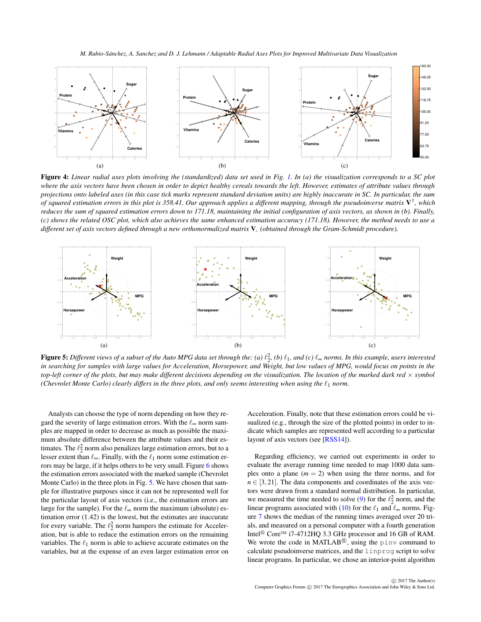<span id="page-5-2"></span>

<span id="page-5-0"></span>Figure 4: Linear radial axes plots involving the (standardized) data set used in Fig. [1.](#page-2-1) In (a) the visualization corresponds to a SC plot where the axis vectors have been chosen in order to depict healthy cereals towards the left. However, estimates of attribute values through projections onto labeled axes (in this case tick marks represent standard deviation units) are highly inaccurate in SC. In particular, the sum of squared estimation errors in this plot is 358.41. Our approach applies a different mapping, through the pseudoinverse matrix  $V^{\dagger}$ , which reduces the sum of squared estimation errors down to 171.18, maintaining the initial configuration of axis vectors, as shown in (b). Finally, (c) shows the related OSC plot, which also achieves the same enhanced estimation accuracy  $(171.18)$ . However, the method needs to use a different set of axis vectors defined through a new orthonormalized matrix  $V_{\perp}$  (obtained through the Gram-Schmidt procedure).



<span id="page-5-1"></span>**Figure 5:** Different views of a subset of the Auto MPG data set through the: (a)  $\ell_2^2$ , (b)  $\ell_1$ , and (c)  $\ell_\infty$  norms. In this example, users interested in searching for samples with large values for Acceleration, Horsepower, and Weight, but low values of MPG, would focus on points in the top-left corner of the plots, but may make different decisions depending on the visualization. The location of the marked dark red  $\times$  symbol (Chevrolet Monte Carlo) clearly differs in the three plots, and only seems interesting when using the  $\ell_1$  norm.

Analysts can choose the type of norm depending on how they regard the severity of large estimation errors. With the  $\ell_{\infty}$  norm samples are mapped in order to decrease as much as possible the maximum absolute difference between the attribute values and their estimates. The  $\ell_2^2$  norm also penalizes large estimation errors, but to a lesser extent than  $\ell_{\infty}$ . Finally, with the  $\ell_1$  norm some estimation errors may be large, if it helps others to be very small. Figure [6](#page-4-1) shows the estimation errors associated with the marked sample (Chevrolet Monte Carlo) in the three plots in Fig. [5.](#page-5-1) We have chosen that sample for illustrative purposes since it can not be represented well for the particular layout of axis vectors (i.e., the estimation errors are large for the sample). For the  $\ell_{\infty}$  norm the maximum (absolute) estimation error (1.42) is the lowest, but the estimates are inaccurate for every variable. The  $\ell_2^2$  norm hampers the estimate for Acceleration, but is able to reduce the estimation errors on the remaining variables. The  $\ell_1$  norm is able to achieve accurate estimates on the variables, but at the expense of an even larger estimation error on Acceleration. Finally, note that these estimation errors could be visualized (e.g., through the size of the plotted points) in order to indicate which samples are represented well according to a particular layout of axis vectors (see [\[RSS14\]](#page-10-3)).

Regarding efficiency, we carried out experiments in order to evaluate the average running time needed to map 1000 data samples onto a plane  $(m = 2)$  when using the three norms, and for  $n \in [3,21]$ . The data components and coordinates of the axis vectors were drawn from a standard normal distribution. In particular, we measured the time needed to solve [\(9\)](#page-3-2) for the  $\ell_2^2$  norm, and the linear programs associated with [\(10\)](#page-4-2) for the  $\ell_1$  and  $\ell_{\infty}$  norms. Figure [7](#page-6-0) shows the median of the running times averaged over 20 trials, and measured on a personal computer with a fourth generation Intel<sup>®</sup> Core™ i7-4712HQ 3.3 GHz processor and 16 GB of RAM. We wrote the code in MATLAB $\mathbb{B}$ , using the pinv command to calculate pseudoinverse matrices, and the linprog script to solve linear programs. In particular, we chose an interior-point algorithm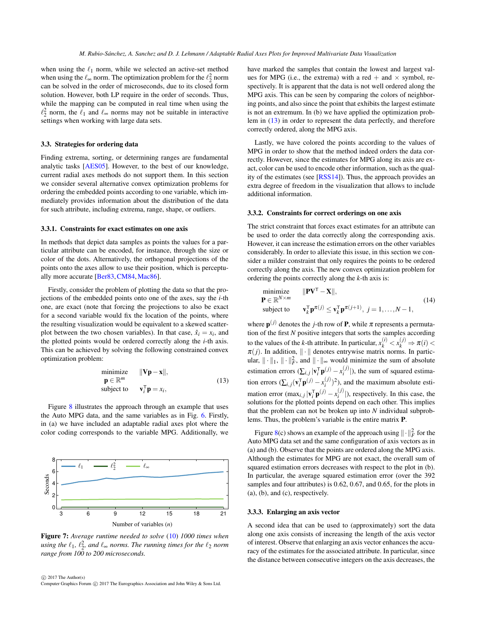<span id="page-6-3"></span>when using the  $\ell_1$  norm, while we selected an active-set method when using the  $\ell_{\infty}$  norm. The optimization problem for the  $\ell_2^2$  norm can be solved in the order of microseconds, due to its closed form solution. However, both LP require in the order of seconds. Thus, while the mapping can be computed in real time when using the  $\ell_2^2$  norm, the  $\ell_1$  and  $\ell_{\infty}$  norms may not be suitable in interactive settings when working with large data sets.

## **3.3. Strategies for ordering data**

Finding extrema, sorting, or determining ranges are fundamental analytic tasks [\[AES05\]](#page-9-12). However, to the best of our knowledge, current radial axes methods do not support them. In this section we consider several alternative convex optimization problems for ordering the embedded points according to one variable, which immediately provides information about the distribution of the data for such attribute, including extrema, range, shape, or outliers.

# **3.3.1. Constraints for exact estimates on one axis**

In methods that depict data samples as points the values for a particular attribute can be encoded, for instance, through the size or color of the dots. Alternatively, the orthogonal projections of the points onto the axes allow to use their position, which is perceptually more accurate [\[Ber83,](#page-9-13)[CM84,](#page-9-14)[Mac86\]](#page-10-8).

Firstly, consider the problem of plotting the data so that the projections of the embedded points onto one of the axes, say the *i*-th one, are exact (note that forcing the projections to also be exact for a second variable would fix the location of the points, where the resulting visualization would be equivalent to a skewed scatterplot between the two chosen variables). In that case,  $\hat{x}_i = x_i$ , and the plotted points would be ordered correctly along the *i*-th axis. This can be achieved by solving the following constrained convex optimization problem:

<span id="page-6-1"></span>minimize 
$$
\|\mathbf{V}\mathbf{p} - \mathbf{x}\|
$$
,  
\n $\mathbf{p} \in \mathbb{R}^m$   
\nsubject to  $\mathbf{v}_i^{\mathsf{T}} \mathbf{p} = x_i$ , (13)

Figure [8](#page-7-0) illustrates the approach through an example that uses the Auto MPG data, and the same variables as in Fig. [6.](#page-4-1) Firstly, in (a) we have included an adaptable radial axes plot where the color coding corresponds to the variable MPG. Additionally, we



<span id="page-6-0"></span>**Figure 7:** *Average runtime needed to solve* [\(10\)](#page-4-2) *1000 times when*  $\mu$  *using the*  $\ell_1$ ,  $\ell_2^2$ , and  $\ell_{\infty}$  *norms. The running times for the*  $\ell_2$  *norm range from 100 to 200 microseconds.*

have marked the samples that contain the lowest and largest values for MPG (i.e., the extrema) with a red + and  $\times$  symbol, respectively. It is apparent that the data is not well ordered along the MPG axis. This can be seen by comparing the colors of neighboring points, and also since the point that exhibits the largest estimate is not an extremum. In (b) we have applied the optimization problem in [\(13\)](#page-6-1) in order to represent the data perfectly, and therefore correctly ordered, along the MPG axis.

Lastly, we have colored the points according to the values of MPG in order to show that the method indeed orders the data correctly. However, since the estimates for MPG along its axis are exact, color can be used to encode other information, such as the quality of the estimates (see [\[RSS14\]](#page-10-3)). Thus, the approach provides an extra degree of freedom in the visualization that allows to include additional information.

## **3.3.2. Constraints for correct orderings on one axis**

The strict constraint that forces exact estimates for an attribute can be used to order the data correctly along the corresponding axis. However, it can increase the estimation errors on the other variables considerably. In order to alleviate this issue, in this section we consider a milder constraint that only requires the points to be ordered correctly along the axis. The new convex optimization problem for ordering the points correctly along the *k*-th axis is:

<span id="page-6-2"></span>
$$
\begin{array}{ll}\n\text{minimize} & \|\mathbf{P}\mathbf{V}^{\mathsf{T}} - \mathbf{X}\|, \\
\mathbf{P} \in \mathbb{R}^{N \times m} & \text{subject to} \qquad \mathbf{v}_k^{\mathsf{T}} \mathbf{p}^{\pi(j)} \leq \mathbf{v}_k^{\mathsf{T}} \mathbf{p}^{\pi(j+1)}, \ j = 1, \dots, N-1,\n\end{array} \tag{14}
$$

where  $\mathbf{p}^{(j)}$  denotes the *j*-th row of **P**, while  $\pi$  represents a permutation of the first *N* positive integers that sorts the samples according to the values of the *k*-th attribute. In particular,  $x_k^{(i)} < x_k^{(j)} \Rightarrow \pi(i)$  $\pi(j)$ . In addition,  $\|\cdot\|$  denotes entrywise matrix norms. In particular,  $\|\cdot\|_1$ ,  $\|\cdot\|_F^2$ , and  $\|\cdot\|_{\infty}$  would minimize the sum of absolute estimation errors  $(\sum_{i,j} |\mathbf{v}_i^{\mathsf{T}} \mathbf{p}^{(j)} - x_i^{(j)}|)$ , the sum of squared estimation errors  $(\sum_{i,j} (\mathbf{v}_i^T \mathbf{p}^{(j)} - x_i^{(j)})^2)$ , and the maximum absolute estimation error  $(\max_{i,j} |\mathbf{v}_i^{\mathsf{T}} \mathbf{p}^{(j)} - x_i^{(j)}|)$ , respectively. In this case, the solutions for the plotted points depend on each other. This implies that the problem can not be broken up into *N* individual subproblems. Thus, the problem's variable is the entire matrix **P**.

Figure [8\(](#page-7-0)c) shows an example of the approach using  $\|\cdot\|_F^2$  for the Auto MPG data set and the same configuration of axis vectors as in (a) and (b). Observe that the points are ordered along the MPG axis. Although the estimates for MPG are not exact, the overall sum of squared estimation errors decreases with respect to the plot in (b). In particular, the average squared estimation error (over the 392 samples and four attributes) is 0.62, 0.67, and 0.65, for the plots in (a), (b), and (c), respectively.

## **3.3.3. Enlarging an axis vector**

A second idea that can be used to (approximately) sort the data along one axis consists of increasing the length of the axis vector of interest. Observe that enlarging an axis vector enhances the accuracy of the estimates for the associated attribute. In particular, since the distance between consecutive integers on the axis decreases, the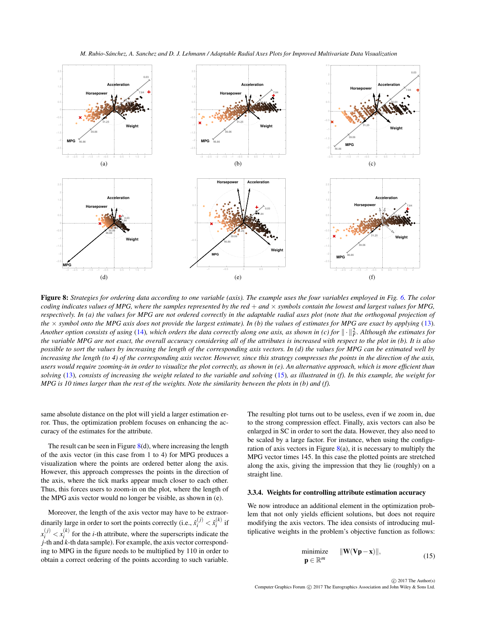

M. Rubio-Sánchez, A. Sanchez and D. J. Lehmann / Adaptable Radial Axes Plots for Improved Multivariate Data Visualization

<span id="page-7-0"></span>Figure 8: Strategies for ordering data according to one variable (axis). The example uses the four variables employed in Fig. [6.](#page-4-1) The color coding indicates values of MPG, where the samples represented by the red  $+$  and  $\times$  symbols contain the lowest and largest values for MPG, respectively. In (a) the values for MPG are not ordered correctly in the adaptable radial axes plot (note that the orthogonal projection of the  $\times$  symbol onto the MPG axis does not provide the largest estimate). In (b) the values of estimates for MPG are exact by applying [\(13\)](#page-6-1). Another option consists of using [\(14\)](#page-6-2), which orders the data correctly along one axis, as shown in (c) for  $\|\cdot\|_F^2$ . Although the estimates for the variable MPG are not exact, the overall accuracy considering all of the attributes is increased with respect to the plot in (b). It is also possible to sort the values by increasing the length of the corresponding axis vectors. In (d) the values for MPG can be estimated well by increasing the length (to 4) of the corresponding axis vector. However, since this strategy compresses the points in the direction of the axis, users would require zooming-in in order to visualize the plot correctly, as shown in (e). An alternative approach, which is more efficient than solving  $(13)$ , consists of increasing the weight related to the variable and solving  $(15)$ , as illustrated in (f). In this example, the weight for MPG is 10 times larger than the rest of the weights. Note the similarity between the plots in  $(b)$  and  $(f)$ .

same absolute distance on the plot will yield a larger estimation error. Thus, the optimization problem focuses on enhancing the accuracy of the estimates for the attribute.

The result can be seen in Figure  $8(d)$  $8(d)$ , where increasing the length of the axis vector (in this case from 1 to 4) for MPG produces a visualization where the points are ordered better along the axis. However, this approach compresses the points in the direction of the axis, where the tick marks appear much closer to each other. Thus, this forces users to zoom-in on the plot, where the length of the MPG axis vector would no longer be visible, as shown in (e).

Moreover, the length of the axis vector may have to be extraordinarily large in order to sort the points correctly (i.e.,  $\hat{x}_i^{(j)} < \hat{x}_i^{(k)}$  if  $x_i^{(j)} < x_i^{(k)}$  for the *i*-th attribute, where the superscripts indicate the *j*-th and *k*-th data sample). For example, the axis vector corresponding to MPG in the figure needs to be multiplied by 110 in order to obtain a correct ordering of the points according to such variable.

The resulting plot turns out to be useless, even if we zoom in, due to the strong compression effect. Finally, axis vectors can also be enlarged in SC in order to sort the data. However, they also need to be scaled by a large factor. For instance, when using the configuration of axis vectors in Figure  $8(a)$  $8(a)$ , it is necessary to multiply the MPG vector times 145. In this case the plotted points are stretched along the axis, giving the impression that they lie (roughly) on a straight line.

# <span id="page-7-2"></span>**3.3.4. Weights for controlling attribute estimation accuracy**

<span id="page-7-1"></span>We now introduce an additional element in the optimization problem that not only yields efficient solutions, but does not require modifying the axis vectors. The idea consists of introducing multiplicative weights in the problem's objective function as follows:

$$
\begin{array}{ll}\text{minimize} & \|\mathbf{W}(\mathbf{V}\mathbf{p} - \mathbf{x})\|, \\ \mathbf{p} \in \mathbb{R}^m \end{array} \tag{15}
$$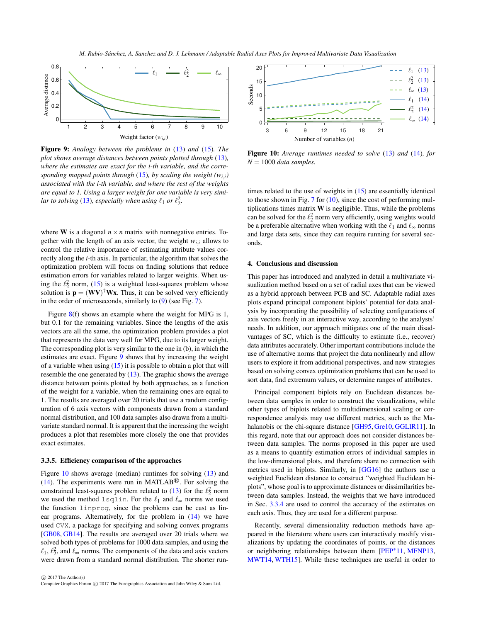<span id="page-8-3"></span>

<span id="page-8-1"></span>**Figure 9:** *Analogy between the problems in* [\(13\)](#page-6-1) *and* [\(15\)](#page-7-1)*. The plot shows average distances between points plotted through* [\(13\)](#page-6-1)*, where the estimates are exact for the i-th variable, and the corresponding mapped points through* [\(15\)](#page-7-1)*, by scaling the weight (wi*,*i) associated with the i-th variable, and where the rest of the weights are equal to 1. Using a larger weight for one variable is very similar to solving* [\(13\)](#page-6-1), *especially when using*  $\ell_1$  *or*  $\ell_2^2$ *.* 

where **W** is a diagonal  $n \times n$  matrix with nonnegative entries. Together with the length of an axis vector, the weight  $w_{i,i}$  allows to control the relative importance of estimating attribute values correctly along the *i*-th axis. In particular, the algorithm that solves the optimization problem will focus on finding solutions that reduce estimation errors for variables related to larger weights. When using the  $\ell_2^2$  norm, [\(15\)](#page-7-1) is a weighted least-squares problem whose solution is  $\mathbf{p} = (\mathbf{W}\mathbf{V})^{\dagger} \mathbf{W}\mathbf{x}$ . Thus, it can be solved very efficiently in the order of microseconds, similarly to [\(9\)](#page-3-2) (see Fig. [7\)](#page-6-0).

Figure [8\(](#page-7-0)f) shows an example where the weight for MPG is 1, but 0.1 for the remaining variables. Since the lengths of the axis vectors are all the same, the optimization problem provides a plot that represents the data very well for MPG, due to its larger weight. The corresponding plot is very similar to the one in (b), in which the estimates are exact. Figure [9](#page-8-1) shows that by increasing the weight of a variable when using [\(15\)](#page-7-1) it is possible to obtain a plot that will resemble the one generated by [\(13\)](#page-6-1). The graphic shows the average distance between points plotted by both approaches, as a function of the weight for a variable, when the remaining ones are equal to 1. The results are averaged over 20 trials that use a random configuration of 6 axis vectors with components drawn from a standard normal distribution, and 100 data samples also drawn from a multivariate standard normal. It is apparent that the increasing the weight produces a plot that resembles more closely the one that provides exact estimates.

#### **3.3.5. Efficiency comparison of the approaches**

Figure [10](#page-8-2) shows average (median) runtimes for solving [\(13\)](#page-6-1) and [\(14\)](#page-6-2). The experiments were run in MATLAB<sup>®</sup>. For solving the constrained least-squares problem related to [\(13\)](#page-6-1) for the  $\ell_2^2$  norm we used the method lsqlin. For the  $\ell_1$  and  $\ell_{\infty}$  norms we used the function linprog, since the problems can be cast as linear programs. Alternatively, for the problem in [\(14\)](#page-6-2) we have used CVX, a package for specifying and solving convex programs [\[GB08,](#page-9-15) [GB14\]](#page-9-16). The results are averaged over 20 trials where we solved both types of problems for 1000 data samples, and using the  $\ell_1, \ell_2^2$ , and  $\ell_{\infty}$  norms. The components of the data and axis vectors were drawn from a standard normal distribution. The shorter run-



<span id="page-8-2"></span>**Figure 10:** *Average runtimes needed to solve* [\(13\)](#page-6-1) *and* [\(14\)](#page-6-2)*, for*  $N = 1000$  *data samples.* 

times related to the use of weights in  $(15)$  are essentially identical to those shown in Fig.  $7$  for  $(10)$ , since the cost of performing multiplications times matrix **W** is negligible. Thus, while the problems can be solved for the  $\ell_2^2$  norm very efficiently, using weights would be a preferable alternative when working with the  $\ell_1$  and  $\ell_{\infty}$  norms and large data sets, since they can require running for several seconds.

## <span id="page-8-0"></span>**4. Conclusions and discussion**

This paper has introduced and analyzed in detail a multivariate visualization method based on a set of radial axes that can be viewed as a hybrid approach between PCB and SC. Adaptable radial axes plots expand principal component biplots' potential for data analysis by incorporating the possibility of selecting configurations of axis vectors freely in an interactive way, according to the analysts' needs. In addition, our approach mitigates one of the main disadvantages of SC, which is the difficulty to estimate (i.e., recover) data attributes accurately. Other important contributions include the use of alternative norms that project the data nonlinearly and allow users to explore it from additional perspectives, and new strategies based on solving convex optimization problems that can be used to sort data, find extremum values, or determine ranges of attributes.

Principal component biplots rely on Euclidean distances between data samples in order to construct the visualizations, while other types of biplots related to multidimensional scaling or correspondence analysis may use different metrics, such as the Ma-halanobis or the chi-square distance [\[GH95,](#page-9-5) [Gre10,](#page-9-6) GGLIR11]. In this regard, note that our approach does not consider distances between data samples. The norms proposed in this paper are used as a means to quantify estimation errors of individual samples in the low-dimensional plots, and therefore share no connection with metrics used in biplots. Similarly, in [\[GG16\]](#page-9-17) the authors use a weighted Euclidean distance to construct "weighted Euclidean biplots", whose goal is to approximate distances or dissimilarities between data samples. Instead, the weights that we have introduced in Sec. [3.3.4](#page-7-2) are used to control the accuracy of the estimates on each axis. Thus, they are used for a different purpose.

Recently, several dimensionality reduction methods have appeared in the literature where users can interactively modify visualizations by updating the coordinates of points, or the distances or neighboring relationships between them [\[PEP](#page-10-9)∗11, [MFNP13,](#page-10-10) [MWT14,](#page-10-11) [WTH15\]](#page-10-12). While these techniques are useful in order to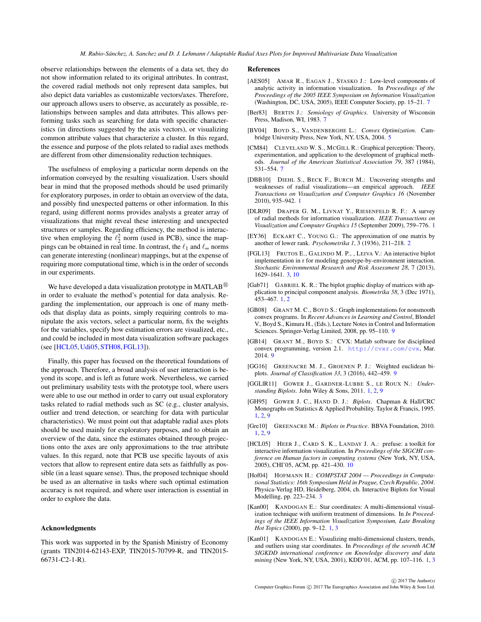<span id="page-9-19"></span>observe relationships between the elements of a data set, they do not show information related to its original attributes. In contrast, the covered radial methods not only represent data samples, but also depict data variables as customizable vectors/axes. Therefore, our approach allows users to observe, as accurately as possible, relationships between samples and data attributes. This allows performing tasks such as searching for data with specific characteristics (in directions suggested by the axis vectors), or visualizing common attribute values that characterize a cluster. In this regard, the essence and purpose of the plots related to radial axes methods are different from other dimensionality reduction techniques.

The usefulness of employing a particular norm depends on the information conveyed by the resulting visualization. Users should bear in mind that the proposed methods should be used primarily for exploratory purposes, in order to obtain an overview of the data, and possibly find unexpected patterns or other information. In this regard, using different norms provides analysts a greater array of visualizations that might reveal these interesting and unexpected structures or samples. Regarding efficiency, the method is interactive when employing the  $\ell_2^2$  norm (used in PCB), since the mappings can be obtained in real time. In contrast, the  $\ell_1$  and  $\ell_{\infty}$  norms can generate interesting (nonlinear) mappings, but at the expense of requiring more computational time, which is in the order of seconds in our experiments.

We have developed a data visualization prototype in MATLAB $\mathbb{B}$ in order to evaluate the method's potential for data analysis. Regarding the implementation, our approach is one of many methods that display data as points, simply requiring controls to manipulate the axis vectors, select a particular norm, fix the weights for the variables, specify how estimation errors are visualized, etc., and could be included in most data visualization software packages (see [\[HCL05,](#page-9-18)[Udi05,](#page-10-5)[STH08,](#page-10-13)[FGL13\]](#page-9-10)).

Finally, this paper has focused on the theoretical foundations of the approach. Therefore, a broad analysis of user interaction is beyond its scope, and is left as future work. Nevertheless, we carried out preliminary usability tests with the prototype tool, where users were able to use our method in order to carry out usual exploratory tasks related to radial methods such as SC (e.g., cluster analysis, outlier and trend detection, or searching for data with particular characteristics). We must point out that adaptable radial axes plots should be used mainly for exploratory purposes, and to obtain an overview of the data, since the estimates obtained through projections onto the axes are only approximations to the true attribute values. In this regard, note that PCB use specific layouts of axis vectors that allow to represent entire data sets as faithfully as possible (in a least square sense). Thus, the proposed technique should be used as an alternative in tasks where such optimal estimation accuracy is not required, and where user interaction is essential in order to explore the data.

#### **Acknowledgments**

This work was supported in by the Spanish Ministry of Economy (grants TIN2014-62143-EXP, TIN2015-70799-R, and TIN2015- 66731-C2-1-R).

#### **References**

- <span id="page-9-12"></span>[AES05] AMAR R., EAGAN J., STASKO J.: Low-level components of analytic activity in information visualization. In *Proceedings of the Proceedings of the 2005 IEEE Symposium on Information Visualization* (Washington, DC, USA, 2005), IEEE Computer Society, pp. 15–21. [7](#page-6-3)
- <span id="page-9-13"></span>[Ber83] BERTIN J.: *Semiology of Graphics*. University of Wisconsin Press, Madison, WI, 1983. [7](#page-6-3)
- <span id="page-9-11"></span>[BV04] BOYD S., VANDENBERGHE L.: *Convex Optimization*. Cambridge University Press, New York, NY, USA, 2004. [5](#page-4-3)
- <span id="page-9-14"></span>[CM84] CLEVELAND W. S., MCGILL R.: Graphical perception: Theory, experimentation, and application to the development of graphical methods. *Journal of the American Statistical Association 79*, 387 (1984), 531–554. [7](#page-6-3)
- <span id="page-9-1"></span>[DBB10] DIEHL S., BECK F., BURCH M.: Uncovering strengths and weaknesses of radial visualizations—an empirical approach. *IEEE Transactions on Visualization and Computer Graphics 16* (November 2010), 935–942. [1](#page-0-0)
- <span id="page-9-0"></span>[DLR09] DRAPER G. M., LIVNAT Y., RIESENFELD R. F.: A survey of radial methods for information visualization. *IEEE Transactions on Visualization and Computer Graphics 15* (September 2009), 759–776. [1](#page-0-0)
- <span id="page-9-8"></span>[EY36] ECKART C., YOUNG G.: The approximation of one matrix by another of lower rank. *Psychometrika 1*, 3 (1936), 211–218. [2](#page-1-5)
- <span id="page-9-10"></span>[FGL13] FRUTOS E., GALINDO M. P., , LEIVA V.: An interactive biplot implementation in r for modeling genotype-by-environment interaction. *Stochastic Environmental Research and Risk Assessment 28*, 7 (2013), 1629–1641. [3,](#page-2-5) [10](#page-9-19)
- <span id="page-9-4"></span>[Gab71] GABRIEL K. R.: The biplot graphic display of matrices with application to principal component analysis. *Biometrika 58*, 3 (Dec 1971), 453–467. [1,](#page-0-0) [2](#page-1-5)
- <span id="page-9-15"></span>[GB08] GRANT M. C., BOYD S.: Graph implementations for nonsmooth convex programs. In *Recent Advances in Learning and Control*, Blondel V., Boyd S., Kimura H., (Eds.), Lecture Notes in Control and Information Sciences. Springer-Verlag Limited, 2008, pp. 95–110. [9](#page-8-3)
- <span id="page-9-16"></span>[GB14] GRANT M., BOYD S.: CVX: Matlab software for disciplined convex programming, version 2.1. <http://cvxr.com/cvx>, Mar. 2014. [9](#page-8-3)
- <span id="page-9-17"></span>[GG16] GREENACRE M. J., GROENEN P. J.: Weighted euclidean biplots. *Journal of Classification 33*, 3 (2016), 442–459. [9](#page-8-3)
- <span id="page-9-7"></span>[GGLlR11] GOWER J., GARDNER-LUBBE S., LE ROUX N.: *Understanding Biplots*. John Wiley & Sons, 2011. [1,](#page-0-0) [2,](#page-1-5) [9](#page-8-3)
- <span id="page-9-5"></span>[GH95] GOWER J. C., HAND D. J.: *Biplots*. Chapman & Hall/CRC Monographs on Statistics & Applied Probability. Taylor & Francis, 1995. [1,](#page-0-0) [2,](#page-1-5) [9](#page-8-3)
- <span id="page-9-6"></span>[Gre10] GREENACRE M.: *Biplots in Practice*. BBVA Foundation, 2010. [1,](#page-0-0) [2,](#page-1-5) [9](#page-8-3)
- <span id="page-9-18"></span>[HCL05] HEER J., CARD S. K., LANDAY J. A.: prefuse: a toolkit for interactive information visualization. In *Proceedings of the SIGCHI conference on Human factors in computing systems* (New York, NY, USA, 2005), CHI'05, ACM, pp. 421–430. [10](#page-9-19)
- <span id="page-9-9"></span>[Hof04] HOFMANN H.: *COMPSTAT 2004 — Proceedings in Computational Statistics: 16th Symposium Held in Prague, Czech Republic, 2004*. Physica-Verlag HD, Heidelberg, 2004, ch. Interactive Biplots for Visual Modelling, pp. 223–234. [3](#page-2-5)
- <span id="page-9-2"></span>[Kan00] KANDOGAN E.: Star coordinates: A multi-dimensional visualization technique with uniform treatment of dimensions. In *In Proceedings of the IEEE Information Visualization Symposium, Late Breaking Hot Topics* (2000), pp. 9–12. [1,](#page-0-0) [3](#page-2-5)
- <span id="page-9-3"></span>[Kan01] KANDOGAN E.: Visualizing multi-dimensional clusters, trends, and outliers using star coordinates. In *Proceedings of the seventh ACM SIGKDD international conference on Knowledge discovery and data mining* (New York, NY, USA, 2001), KDD'01, ACM, pp. 107–116. [1,](#page-0-0) [3](#page-2-5)